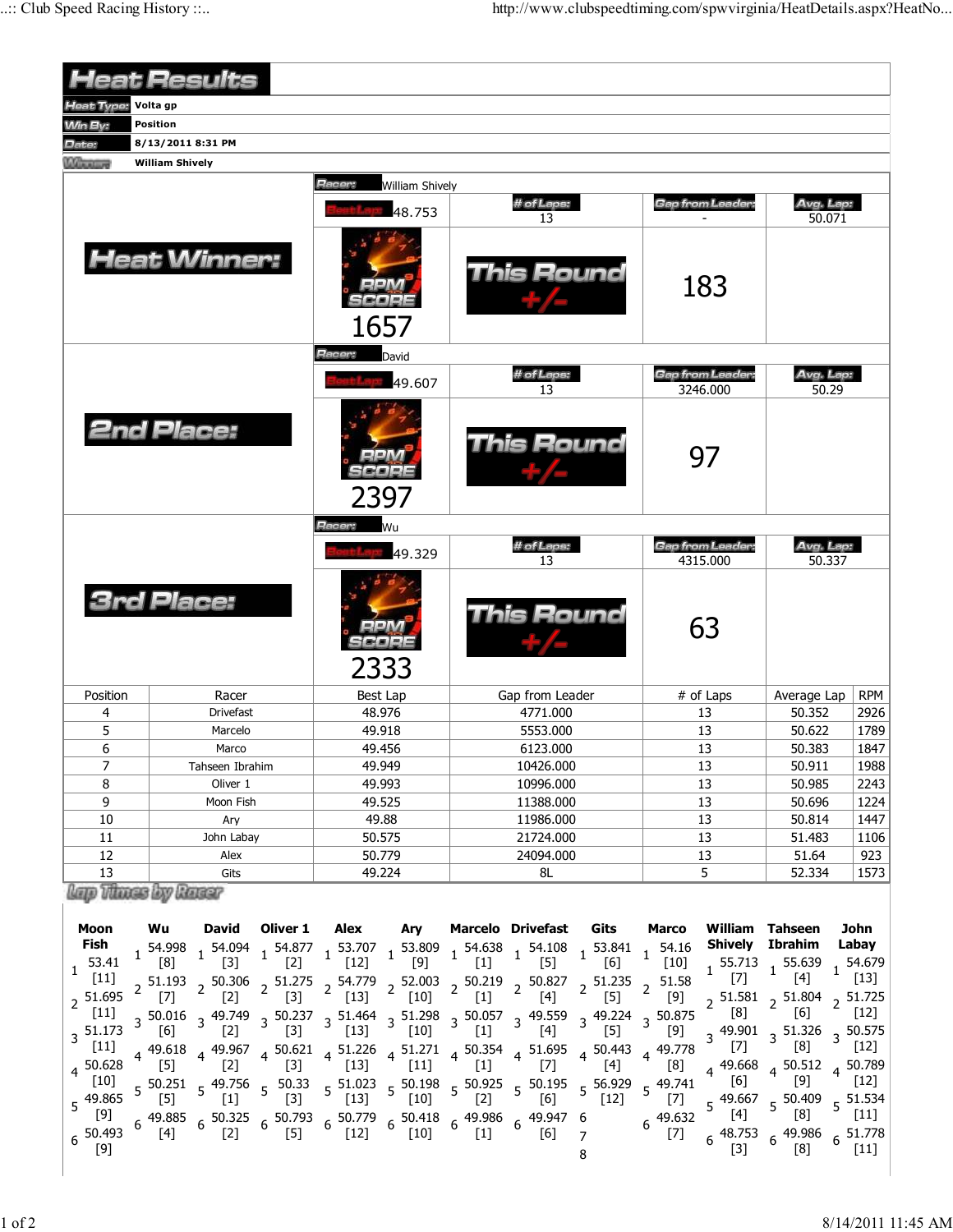| <b>Heat Results</b>    |                 |                        |                  |                 |                        |                        |                  |                                                                                                                                                                                                                                                                                                                                                              |                     |                                     |                              |                                                                                                       |                      |
|------------------------|-----------------|------------------------|------------------|-----------------|------------------------|------------------------|------------------|--------------------------------------------------------------------------------------------------------------------------------------------------------------------------------------------------------------------------------------------------------------------------------------------------------------------------------------------------------------|---------------------|-------------------------------------|------------------------------|-------------------------------------------------------------------------------------------------------|----------------------|
| <b>Heat Type:</b>      | Volta gp        |                        |                  |                 |                        |                        |                  |                                                                                                                                                                                                                                                                                                                                                              |                     |                                     |                              |                                                                                                       |                      |
| <b>Win By:</b>         | <b>Position</b> |                        |                  |                 |                        |                        |                  |                                                                                                                                                                                                                                                                                                                                                              |                     |                                     |                              |                                                                                                       |                      |
| Date:                  |                 | 8/13/2011 8:31 PM      |                  |                 |                        |                        |                  |                                                                                                                                                                                                                                                                                                                                                              |                     |                                     |                              |                                                                                                       |                      |
| Winning                |                 | <b>William Shively</b> |                  |                 |                        |                        |                  |                                                                                                                                                                                                                                                                                                                                                              |                     |                                     |                              |                                                                                                       |                      |
|                        |                 |                        |                  |                 | Racer:                 | <b>William Shively</b> |                  |                                                                                                                                                                                                                                                                                                                                                              |                     |                                     |                              |                                                                                                       |                      |
|                        |                 |                        |                  |                 |                        | 48.753                 | # of Laps:<br>13 |                                                                                                                                                                                                                                                                                                                                                              |                     | <b>Gap from Leader:</b>             |                              | Avg. Lap:<br>50.071                                                                                   |                      |
| <b>Heat Winner:</b>    |                 |                        |                  |                 |                        | 1657                   | This Round       |                                                                                                                                                                                                                                                                                                                                                              |                     |                                     | 183                          |                                                                                                       |                      |
|                        |                 |                        |                  |                 | <b>Hacer:</b><br>David |                        |                  |                                                                                                                                                                                                                                                                                                                                                              |                     |                                     |                              |                                                                                                       |                      |
|                        |                 |                        |                  |                 |                        | 49.607                 | # of Laps:<br>13 |                                                                                                                                                                                                                                                                                                                                                              |                     | <b>Gap from Leader:</b><br>3246.000 |                              | Avg. Lap:<br>50.29                                                                                    |                      |
| <b>2nd Place:</b>      |                 |                        |                  | 2397            |                        | This Round             |                  |                                                                                                                                                                                                                                                                                                                                                              | 97                  |                                     |                              |                                                                                                       |                      |
|                        |                 |                        |                  |                 | Racer:                 | Wu                     |                  |                                                                                                                                                                                                                                                                                                                                                              |                     |                                     |                              |                                                                                                       |                      |
|                        |                 |                        |                  |                 |                        | 49.329                 |                  | # of Laps:<br>13                                                                                                                                                                                                                                                                                                                                             |                     |                                     | Gap from Leader:<br>4315.000 | Avg. Lap:<br>50.337                                                                                   |                      |
| <b>3rd Place:</b>      |                 |                        |                  | 2333            |                        | This Round             |                  |                                                                                                                                                                                                                                                                                                                                                              | 63                  |                                     |                              |                                                                                                       |                      |
| Position               |                 |                        | Racer            |                 | Best Lap               |                        | Gap from Leader  |                                                                                                                                                                                                                                                                                                                                                              |                     | # of Laps                           |                              | Average Lap                                                                                           | <b>RPM</b>           |
| 4                      |                 |                        | <b>Drivefast</b> |                 | 48.976                 |                        | 4771.000         |                                                                                                                                                                                                                                                                                                                                                              |                     | 13                                  |                              | 50.352                                                                                                | 2926                 |
| 5                      |                 | Marcelo                |                  |                 | 49.918                 |                        | 5553.000         |                                                                                                                                                                                                                                                                                                                                                              |                     | 13                                  |                              | 50.622                                                                                                | 1789                 |
| 6                      |                 | Marco                  |                  |                 | 49.456                 |                        | 6123.000         |                                                                                                                                                                                                                                                                                                                                                              |                     | 13                                  |                              | 50.383                                                                                                | 1847                 |
| $\overline{7}$         |                 | Tahseen Ibrahim        |                  |                 | 49.949                 |                        | 10426.000        |                                                                                                                                                                                                                                                                                                                                                              |                     | 13                                  |                              | 50.911                                                                                                | 1988                 |
| 8                      |                 | Oliver 1               |                  | 49.993          |                        | 10996.000              |                  |                                                                                                                                                                                                                                                                                                                                                              | 13                  |                                     | 50.985                       | 2243                                                                                                  |                      |
| $\overline{9}$<br>10   |                 | Moon Fish              |                  | 49.525          |                        | 11388.000              |                  |                                                                                                                                                                                                                                                                                                                                                              | 13<br>13            |                                     | 50.696                       | 1224                                                                                                  |                      |
| 11                     |                 | Ary<br>John Labay      |                  | 49.88<br>50.575 |                        | 11986.000<br>21724.000 |                  |                                                                                                                                                                                                                                                                                                                                                              | 13                  |                                     | 50.814<br>51.483             | 1447<br>1106                                                                                          |                      |
| 12                     |                 | Alex                   |                  | 50.779          |                        | 24094.000              |                  |                                                                                                                                                                                                                                                                                                                                                              | 13                  |                                     | 51.64                        | 923                                                                                                   |                      |
| 13                     |                 | Gits                   |                  | 49.224          |                        | 8L                     |                  |                                                                                                                                                                                                                                                                                                                                                              | 5                   |                                     | 52.334                       | 1573                                                                                                  |                      |
| lap Those by Rassr     |                 |                        |                  |                 |                        |                        |                  |                                                                                                                                                                                                                                                                                                                                                              |                     |                                     |                              |                                                                                                       |                      |
| <b>Moon</b>            |                 |                        |                  |                 |                        |                        |                  |                                                                                                                                                                                                                                                                                                                                                              |                     |                                     |                              | <b>William Tahseen</b>                                                                                |                      |
| Fish                   |                 | Wu                     | David            | Oliver 1        |                        | Alex Ary               |                  | Marcelo Drivefast Gits                                                                                                                                                                                                                                                                                                                                       |                     | <b>Marco</b>                        | Shively Ibrahim              |                                                                                                       | John<br>Labay        |
| 53.41                  |                 |                        |                  |                 |                        |                        |                  | $\begin{array}{cccccccccccc} 1&54.998&1&54.094&1&54.877&1&53.707&1&53.809&1&54.638&1&54.108&1&53.841&1&54.16\\ \hline [8] & &1&[3] & &1&[2] & &1&[12] & & &[9] & &1&[1] & & [5] & &1&[6] & & &[10] \end{array}$                                                                                                                                              |                     |                                     |                              | $1\frac{55.713}{1}$ 1 55.639                                                                          | $1\frac{54.679}{1}$  |
| 1.<br>$[11]$           |                 |                        |                  |                 |                        |                        |                  |                                                                                                                                                                                                                                                                                                                                                              |                     |                                     | $[7]$                        | $[4]$                                                                                                 | $[13]$               |
| $2^{51.695}$           |                 |                        |                  |                 |                        |                        |                  | 2 51.193  2 50.306  2 51.275  2 54.779  2 52.003  2 50.219  2 50.827  2 51.235  2 51.58<br>[7]  2 [2]  2 [3]  2 [13]  2 [10]  2 [1]  2 [4]  2 [5]  2 [9]                                                                                                                                                                                                     |                     |                                     |                              | $2\begin{array}{cc} 51.581 \\ 2\end{array}$ 2 51.804 $2\begin{array}{cc} 51.725 \\ 1.725 \end{array}$ |                      |
| $[11]$                 |                 |                        |                  |                 |                        |                        |                  | 3 50.016 3 49.749 3 50.237 3 51.464 3 51.298 3 50.057 3 49.559 3 49.224 3 50.875<br>$\begin{bmatrix} 6 \end{bmatrix}$ 3 $\begin{bmatrix} 2 \end{bmatrix}$ 3 $\begin{bmatrix} 3 \end{bmatrix}$ 3 $\begin{bmatrix} 13 \end{bmatrix}$ 3 $\begin{bmatrix} 10 \end{bmatrix}$ 3 $\begin{bmatrix} 4 \end{bmatrix}$ 3 $\begin{bmatrix} 4 \end{bmatrix}$ 3 $\begin{b$ |                     |                                     | $^{[8]}$                     | [6]                                                                                                   | $\lfloor 12 \rfloor$ |
| $3\,$ 51.173           |                 |                        |                  |                 |                        |                        |                  |                                                                                                                                                                                                                                                                                                                                                              |                     | $[9]$                               |                              | $3\frac{49.901}{57}$ $3\frac{51.326}{53}$                                                             | $3\frac{50.575}{ }$  |
| $[11]$                 |                 |                        |                  |                 |                        |                        |                  | 4   49.618   4   49.967   4   50.621   4   51.226   4   51.271   4   50.354   4   51.695   4   50.443   4   49.778<br>[5] $[2]$ $[3]$ $[13]$ $[11]$ $[1]$ $[7]$ $[6]$ $[8]$                                                                                                                                                                                  |                     |                                     | $[7]$                        | [8]                                                                                                   | $[12]$               |
| $4^{50.628}$<br>$[10]$ |                 |                        |                  |                 |                        |                        |                  |                                                                                                                                                                                                                                                                                                                                                              |                     | [8]                                 | 4 49.668<br>[6]              | $4^{50.512}$<br>$[9]$                                                                                 | 4 50.789<br>$[12]$   |
| $5^{49.865}$           |                 | $[5]$                  | $[1]$            | $[3]$           | $[13]$                 | $[10]$                 | $[2]$            | 5 50.251 5 49.756 5 50.33 5 51.023 5 50.198 5 50.925 5 50.195<br>[6]                                                                                                                                                                                                                                                                                         | 5 56.929<br>$[12]$  | 5 49.741<br>$[7]$                   |                              |                                                                                                       |                      |
| [9]                    |                 |                        |                  |                 |                        |                        |                  |                                                                                                                                                                                                                                                                                                                                                              |                     | $6^{49.632}$                        | [4]                          | $5\frac{49.667}{54}$ $5\frac{50.409}{501}$ $5\frac{51.534}{511}$<br>[8]                               | $[11]$               |
| 50.493<br>$[9]$        |                 | $[4]$                  | $[2]$            | $[5]$           | $[12]$                 | $[10]$                 | $[1]$            | 49.885 6 50.325 6 50.793 6 50.779 6 50.418 6 49.986 6 49.947 6<br>[6]                                                                                                                                                                                                                                                                                        | $\overline{7}$<br>8 | $[7]$                               | $[3]$                        | 48.753 6 49.986 6 51.778<br>[8]                                                                       | $[11]$               |
|                        |                 |                        |                  |                 |                        |                        |                  |                                                                                                                                                                                                                                                                                                                                                              |                     |                                     |                              |                                                                                                       |                      |